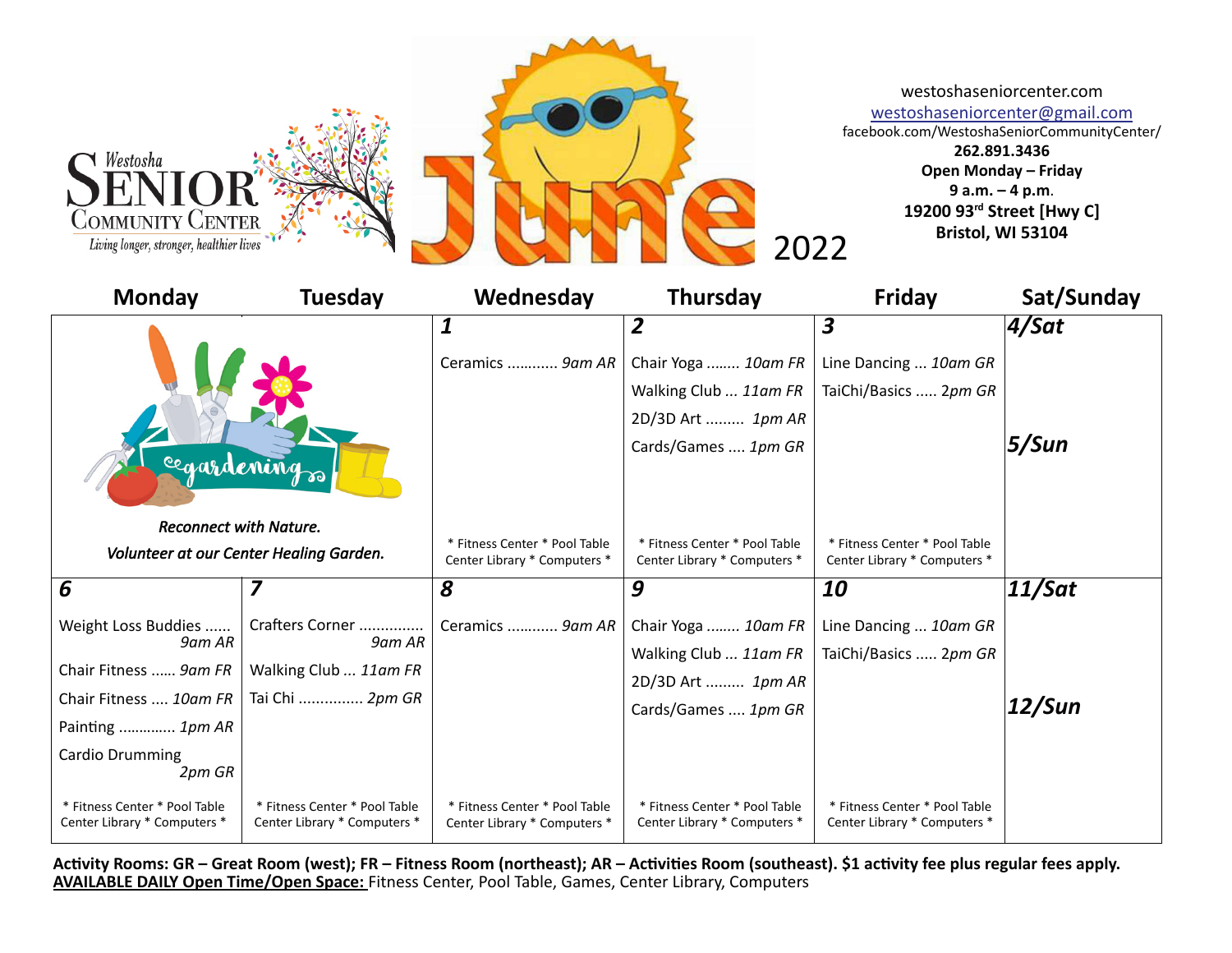

2022

westoshaseniorcenter.com

westoshaseniorcenter@gmail.com facebook.com/WestoshaSeniorCommunityCenter/

> **262.891.3436 Open Monday – Friday 9 a.m. – 4 p.m**. **19200 93rd Street [Hwy C] Bristol, WI 53104**

| <b>Monday</b>                                                            | <b>Tuesday</b>                                                | Wednesday                                                     | <b>Thursday</b>                                               | <b>Friday</b>                                                 | Sat/Sunday |
|--------------------------------------------------------------------------|---------------------------------------------------------------|---------------------------------------------------------------|---------------------------------------------------------------|---------------------------------------------------------------|------------|
|                                                                          |                                                               | 1                                                             | 2                                                             | 3                                                             | $4$ /Sat   |
|                                                                          |                                                               | Ceramics  9am AR                                              | Chair Yoga  10am FR                                           | Line Dancing  10am GR                                         |            |
| cegardenings                                                             |                                                               |                                                               | Walking Club  11am FR                                         | TaiChi/Basics  2pm GR                                         |            |
|                                                                          |                                                               |                                                               | 2D/3D Art  1pm AR                                             |                                                               |            |
|                                                                          |                                                               |                                                               | Cards/Games  1pm GR                                           |                                                               | 5/Sun      |
|                                                                          |                                                               |                                                               |                                                               |                                                               |            |
|                                                                          |                                                               |                                                               |                                                               |                                                               |            |
| <b>Reconnect with Nature.</b><br>Volunteer at our Center Healing Garden. |                                                               | * Fitness Center * Pool Table                                 | * Fitness Center * Pool Table                                 | * Fitness Center * Pool Table                                 |            |
|                                                                          |                                                               | Center Library * Computers *                                  | Center Library * Computers *                                  | Center Library * Computers *                                  |            |
| 6                                                                        |                                                               | 8                                                             | 9                                                             | 10                                                            | 11/Sat     |
| Weight Loss Buddies                                                      | Crafters Corner                                               | Ceramics  9am AR                                              | Chair Yoga  10am FR                                           | Line Dancing  10am GR                                         |            |
| 9am AR                                                                   | 9am AR                                                        |                                                               | Walking Club  11am FR                                         | TaiChi/Basics  2pm GR                                         |            |
| Chair Fitness  9am FR                                                    | Walking Club  11am FR                                         |                                                               | 2D/3D Art  1pm AR                                             |                                                               |            |
| Chair Fitness  10am FR                                                   | Tai Chi  2pm GR                                               |                                                               | Cards/Games  1pm GR                                           |                                                               | 12/Sun     |
| Painting  1pm AR                                                         |                                                               |                                                               |                                                               |                                                               |            |
| Cardio Drumming<br>2pm GR                                                |                                                               |                                                               |                                                               |                                                               |            |
| * Fitness Center * Pool Table<br>Center Library * Computers *            | * Fitness Center * Pool Table<br>Center Library * Computers * | * Fitness Center * Pool Table<br>Center Library * Computers * | * Fitness Center * Pool Table<br>Center Library * Computers * | * Fitness Center * Pool Table<br>Center Library * Computers * |            |

Activity Rooms: GR – Great Room (west); FR – Fitness Room (northeast); AR – Activities Room (southeast). \$1 activity fee plus regular fees apply. **AVAILABLE DAILY Open Time/Open Space:** Fitness Center, Pool Table, Games, Center Library, Computers